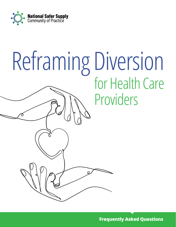

# Reframing Diversion for Health Care Providers

**Frequently Asked Questions**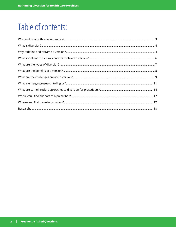# Table of contents: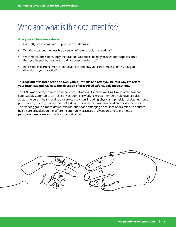# <span id="page-2-0"></span>Who and what is this document for?

# **Are you a clinician who is:**

- Currently prescribing safer supply, or considering it?
- Wondering about the possible diversion of safer supply medications?
- Worried that the safer supply medications you prescribe may be used for purposes other than you intend, by people you did not prescribe them to?
- Interested in learning more about diversion and how you can compassionately navigate diversion in your practice?

### **This document is intended to answer your questions and offer you helpful ways to orient your practices and navigate the diversion of prescribed safer supply medications.**

This FAQ was developed by the collaborative Reframing Diversion Working Group of the National Safer Supply Community of Practice (NSS-CoP). The working group members hold diverse roles as stakeholders in health and social service provision, including physicians, physician assistants, nurse practitioners, nurses, people who use(d) drugs, researchers, program coordinators, and activists. The working group aims to define, critique, and shape emerging discourses of diversion, to educate healthcare providers on the different community practices of diversion, and to promote a person-centered care approach to risk mitigation.

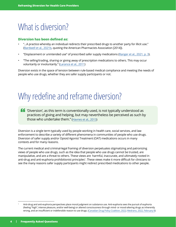# <span id="page-3-0"></span>What is diversion?

## **Diversion has been defined as:**

- "...A practice whereby an individual redirects their prescribed drugs to another party for illicit use." ([Bardwell et al., 2021b](https://www.journalofsubstanceabusetreatment.com/article/S0740-5472(21)00144-6/fulltext), quoting the American Pharmacists Association [2014]).
- "Displacement or unintended use" of prescribed safer supply medications ([Ranger et al., 2021, p. 3\)](https://www.uvic.ca/research/centres/cisur/assets/docs/colab/practice-brief-safer.pdf).
- "The selling/trading, sharing or giving away of prescription medications to others. This may occur voluntarily or involuntarily." ([Larance et al., 2011](https://onlinelibrary.wiley.com/doi/10.1111/j.1465-3362.2010.00283.x))

Diversion exists in the space of tension between rule-based medical compliance and meeting the needs of people who use drugs, whether they are safer supply participants or not.

# Why redefine and reframe diversion?

 'Diversion', as this term is conventionally used, is not typically understood as practices of giving and helping, but may nevertheless be perceived as such by those who undertake them." [\(Havnes et al., 2013\)](https://harmreductionjournal.biomedcentral.com/articles/10.1186/1477-7517-10-24)

Diversion is a single term typically used by people working in health care, social services, and law enforcement to describe a variety of different phenomena in communities of people who use drugs. Diversion of safer supply and/or Opioid Agonist Treatment (OAT) medications occurs in many contexts and for many reasons.

The current medical and criminal-legal framing of diversion perpetuates stigmatizing and patronizing views of people who use drugs, such as the idea that people who use drugs cannot be trusted, are manipulative, and are a threat to others. These views are harmful, inaccurate, and ultimately rooted in anti-drug and anti-euphoria prohibitionist principles<sup>1</sup>. These views make it more difficult for clinicians to see the many reasons safer supply participants might redirect prescribed medications to other people.

<sup>1</sup> Anti-drug and anti-euphoria perspectives place moral judgment on substance use. Anti-euphoria sees the pursuit of euphoria (feeling "high", intense pleasure, and/or well-being) or altered consciousness through mind- or mood-altering drugs as inherently wrong, and an insufficient or indefensible reason to use drugs. [\(Canadian Drug Policy Coalition, 2022;](https://www.drugpolicy.ca/about/history) [Medrano, 2022, February 8](https://filtermag.org/drug-euphoria/))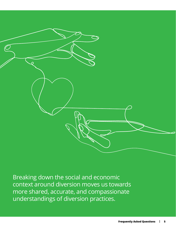

Breaking down the social and economic context around diversion moves us towards more shared, accurate, and compassionate understandings of diversion practices.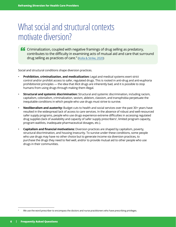# <span id="page-5-0"></span>What social and structural contexts motivate diversion?

**CO** Criminalization, coupled with negative framings of drug selling as predatory, contributes to the difficulty in examining acts of mutual aid and care that surround drug selling as practices of care." ([Kolla & Strike, 2020](https://harmreductionjournal.biomedcentral.com/articles/10.1186/s12954-020-00372-5))

Social and structural conditions shape diversion practices.

- **Prohibition, criminalization, and medicalization:** Legal and medical systems exert strict control and/or prohibit access to safer, regulated drugs. This is rooted in anti-drug and anti-euphoria prohibitionist principles — the idea that illicit drugs are inherently bad, and it is possible to stop humans from using drugs through making them illegal.
- **Structural and systemic discrimination:** Structural and systemic discrimination, including racism, capitalism, colonialism, criminalization, sexism, ableism, classism, and transphobia perpetuate the inequitable conditions in which people who use drugs must strive to survive.
- **Neoliberalism and austerity:** Budget cuts to health and social services over the past 30+ years have resulted in the widespread lack of access to care services. In the absence of robust and well-resourced safer supply programs, people who use drugs experience extreme difficulties in accessing regulated drug supplies (lack of availability and capacity of safer supply prescribers<sup>2</sup>, limited program capacity, program waitlists, inadequate pharmaceutical dosages, etc.).
- **Capitalism and financial motivations:** Diversion practices are shaped by capitalism, poverty, structural discrimination, and housing insecurity. To survive under these conditions, some people who use drugs may have no other choice but to generate income via diversion practices, to purchase the drugs they need to feel well, and/or to provide mutual aid to other people who use drugs in their communities.

<sup>2</sup> We use the word prescriber to encompass the doctors and nurse practitioners who have prescribing privileges.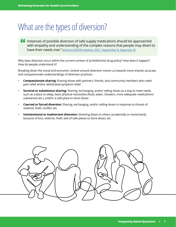# <span id="page-6-0"></span>What are the types of diversion?

 Instances of possible diversion of safe supply medications should be approached with empathy and understanding of the complex reasons that people may divert to have their needs met." [\(Victoria SAFER Initiative, 2021, September 8, Appendix 2](https://drive.google.com/file/d/1AG4qmvXr62HpHUUldiY4pUhi7Ev6wK3Q/view?usp=sharing))

Why does diversion occur within the current context of prohibitionist drug policy? How does it happen? How do people understand it?

Breaking down the social and economic context around diversion moves us towards more shared, accurate, and compassionate understandings of diversion practices.

- **Compassionate sharing:** Sharing doses with partners, friends, and community members who need pain relief and/or withdrawal symptom relief.
- **Survival or subsistence sharing:** Sharing, exchanging, and/or selling doses as a way to meet needs such as a place to sleep, basic physical necessities (food, water, showers, more adequate medications/ substances etc.), and/or a safe place to store doses.
- **Coerced or forced diversion:** Sharing, exchanging, and/or selling doses in response to threats of violence, theft, conflict, etc.
- **Unintentional or inadvertent diversion:** Diverting doses to others accidentally or involuntarily because of loss, violence, theft, lack of safe places to store doses, etc.

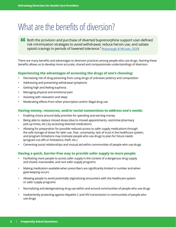# <span id="page-7-0"></span>What are the benefits of diversion?

**11** Both the provision and purchase of diverted buprenorphine support user-defined risk minimization strategies to avoid withdrawal, reduce heroin use, and satiate opioid cravings in periods of lowered tolerance." [\(Kavanaugh & McLean, 2020\)](https://journals.sagepub.com/doi/10.1177/0022042620941796)

There are many benefits and advantages to diversion practices among people who use drugs. Naming these benefits allows us to develop more accurate, shared and compassionate understandings of diversion.

## **Experiencing the advantages of accessing the drugs of one's choosing:**

- Decreasing risk of drug poisoning from using drugs of unknown potency and composition
- Addressing and preventing withdrawal symptoms
- Getting high and feeling euphoria
- Managing physical and emotional pain
- Assisting with relaxation and sleep
- Moderating effects from other prescription and/or illegal drug use

### **Having money, resources, and/or social connections to address one's needs:**

- Enabling choice around daily priorities for spending and earning money
- Being able to replace missed doses (due to missed appointments, restrictive pharmacy pick-up times, etc.) by accessing diverted medications
- Allowing for preparation for possible reduced access to safer supply medications through the safe storage of doses for later use. Fear, uncertainty, lack of trust in the healthcare system, and program limitations may motivate people who use drugs to plan for future needs (program cut-offs or limitations, theft, etc.)
- Cementing social relationships and mutual aid within communities of people who use drugs

## **Having a quick, barrier-free way to provide safer supply to more people:**

- Facilitating more people to access safer supply in the context of a dangerous drug supply and closed, inaccessible, and rare safer supply programs
- Making medication available when prescribers are significantly limited in number and when gate-keeping occurs
- Allowing people to avoid potentially stigmatizing encounters with the healthcare system or safer supply programs
- Normalizing and destigmatizing drug use within and around communities of people who use drugs
- Inadvertently protecting against Hepatitis C and HIV transmission in communities of people who use drugs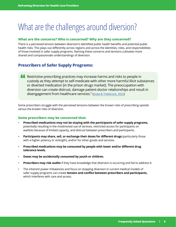# <span id="page-8-0"></span>What are the challenges around diversion?

## **What are the concerns? Who is concerned? Why are they concerned?**

There is a perceived tension between diversion's identified public health benefits and potential public health risks. This plays out differently across regions and across the identities, roles, and responsibilities of those involved in safer supply programs. Naming these concerns and tensions cultivates more shared and compassionate understandings of diversion.

# **Prescribers of Safer Supply Programs:**

**A Restrictive prescribing practices may increase harms and risks to people in** custody as they attempt to self-medicate with other more harmful illicit substances or diverted medication [in the prison drugs market]. The preoccupation with diversion can create distrust, damage patient-doctor relationships and result in disengagement from healthcare services." [\(Duke & Trebilcock, 2022\)](https://www.sciencedirect.com/science/article/abs/pii/S0955395921004333?via%3Dihub)

Some prescribers struggle with the perceived tensions between the known risks of prescribing opioids versus the known risks of diversion.

### **Some prescribers may be concerned that:**

- **Prescribed medications may not be staying with the participants of safer supply programs,**  potentially resulting in the misdirected use of services, restricted access for participants on waitlists because of limited capacity, and distrust between prescribers and participants.
- **Participants may share, sell, or exchange their doses for different drugs** (particularly those with a higher potency or strength), and/or for other goods and services.
- • **Prescribed medications may be consumed by people with lower and/or different drug tolerance levels.**
- **Doses may be accidentally consumed by youth or children.**
- **Prescribers may risk audits** if they have knowledge that diversion is occurring and fail to address it.
- The inherent power imbalances and focus on stopping diversion in current medical models of safer supply programs can create **tension and conflict between prescribers and participants,** which interferes with care and access.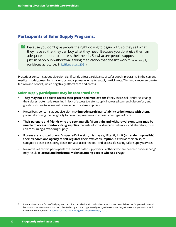# **Participants of Safer Supply Programs:**

**Because you don't give people the right dosing to begin with, so they sell what** they have so that they can buy what they need. Because you don't give them an adequate amount to address their needs. So what are people supposed to do, just sit happily in withdrawal, taking medication that doesn't work?" (safer supply participant, as recorded in [LeBlanc et al., 2021](https://drive.google.com/file/d/1unJ1p55IDXqOOGCdPgmOvBrbXHHCxfym/view?usp=sharing))

Prescriber concerns about diversion significantly affect participants of safer supply programs. In the current medical model, prescribers have substantial power over safer supply participants. This imbalance can create tension and conflict, which negatively affects care and access.

# **Safer supply participants may be concerned that:**

- **They may not be able to access their prescribed medications** if they share, sell, and/or exchange their doses, potentially resulting in lack of access to safer supply, increased pain and discomfort, and greater risk due to increased reliance on toxic drug supplies.
- Prescribers' concerns about diversion may **impede participants' ability to be honest with them,**  potentially risking their eligibility to be in the program and access other types of care.
- **Their partners and friends who are seeking relief from pain and withdrawal symptoms may be unable to access non-toxic drug supplies** through informal diversion networks, and, therefore, must risk consuming a toxic drug supply.
- If doses are restricted due to "suspected" diversion, this may significantly **limit (or render impossible) their freedom and agency to self-regulate their own consumption,** as well as their ability to safeguard doses (i.e. storing doses for later use if needed) and access life-saving safer supply services.
- Narratives of certain participants "deserving" safer supply versus others who are deemed "undeserving" may result in **lateral and horizontal violence among people who use drugs**<sup>3</sup> .

<sup>3</sup> Lateral violence is a form of bullying, and can often be called horizontal violence, which has been defined as "organized, harmful behaviors that we do to each other collectively as part of an oppressed group, within our families, within our organizations and within our communities." ([Coalition to Stop Violence Against Native Women, 2022](https://www.csvanw.org/lateral-violence))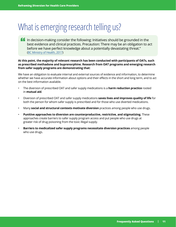# <span id="page-10-0"></span>What is emerging research telling us?

 In decision-making consider the following: Initiatives should be grounded in the best evidence and clinical practices. Precaution: There may be an obligation to act before we have perfect knowledge about a potentially devastating threat." ([BC Ministry of Health, 2017\)](https://www2.gov.bc.ca/assets/gov/health/about-bc-s-health-care-system/office-of-the-provincial-health-officer/overdose-public-health-emergency-ethics-framework-march-2017.pdf)

#### **At this point, the majority of relevant research has been conducted with participants of OATs, such as prescribed methadone and buprenorphine. Research from OAT programs and emerging research from safer supply programs are demonstrating that:**

We have an obligation to evaluate internal and external sources of evidence and information, to determine whether we have accurate information about options and their effects in the short and long term, and to act on the best information available.

- The diversion of prescribed OAT and safer supply medications is a **harm reduction practice** rooted in **mutual aid**.
- Diversion of prescribed OAT and safer supply medications **saves lives and improves quality of life** for both the person for whom safer supply is prescribed and for those who use diverted medications.
- Many **social and structural contexts motivate diversion** practices among people who use drugs.
- **Punitive approaches to diversion are counterproductive, restrictive, and stigmatizing.** These approaches create barriers to safer supply program access and put people who use drugs at greater risk of drug poisoning from the toxic illegal supply.
- • **Barriers to medicalized safer supply programs necessitate diversion practices** among people who use drugs.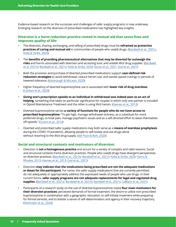Evidence-based research on the successes and challenges of safer supply programs is now underway. Emerging research on the diversion of prescribed medications has highlighted key insights.

## **Diversion is a harm reduction practice rooted in mutual aid that saves lives and improves quality of life:**

- The diversion, sharing, exchanging, and selling of prescribed drugs must be **reframed as protective practices of caring and mutual aid** in communities of people who use(d) drugs. [\(Bardwell et al., 2021c;](https://www.sciencedirect.com/science/article/abs/pii/S027795362100318X?via%3Dihub)  [Kolla & Strike, 2020\)](https://www.sciencedirect.com/science/article/abs/pii/S027795362100318X?via%3Dihub)
- The **benefits of providing pharmaceutical alternatives that may be diverted far outweigh the risks** and harms associated with diversion and accessing toxic and volatile illicit drug supplies. ([Bardwell](https://linkinghub.elsevier.com/retrieve/pii/S0740547221001446)  [et al. 2021b;](https://linkinghub.elsevier.com/retrieve/pii/S0740547221001446) [Bardwell et al., 2021c;](https://www.sciencedirect.com/science/article/abs/pii/S027795362100318X?via%3Dihub) [Kolla & Strike, 2020](https://harmreductionjournal.biomedcentral.com/articles/10.1186/s12954-020-00372-5); [Socias et al., 2021](https://www.sciencedirect.com/science/article/abs/pii/S0376871621006049?via%3Dihub), [Sud et al., 2021\)](https://www.journalofsubstanceabusetreatment.com/article/S0740-5472(21)00377-9/fulltext)
- Both the provision and purchase of diverted prescribed medications support **user-defined risk reduction strategies** to avoid withdrawal, reduce heroin use, and satiate opioid cravings in periods of lowered tolerance. [\(Kavanaugh & McLean, 2020](https://journals.sagepub.com/doi/10.1177/0022042620941796))
- Higher frequency of diverted buprenorphine use is associated with **lower risk of drug overdose.**  ([Carlson et al., 2020](https://www.sciencedirect.com/science/article/abs/pii/S0955395920300633?via%3Dihub))
- • **Giving one's prescription opioids to an individual in withdrawal was indeed seen as an act of helping,** something that takes on particular significance for couples in which only one partner is included in Opioid Maintenance Treatment and the other is using illicit heroin. [\(Havnes et al., 2013](https://harmreductionjournal.biomedcentral.com/articles/10.1186/1477-7517-10-24))
- Diverted buprenorphine serves **a variety of functions for people who do not have access to prescribed buprenorphine:** "To get high, manage withdrawal sickness, as a substitute for more preferred drugs, to treat pain, manage psychiatric issues and as a self-directed effort to wean themselves off opioids." [\(Cicero et al., 2014\)](https://www.sciencedirect.com/science/article/abs/pii/S0376871614009132?via%3Dihub)
- Diverted and prescribed safer supply medications may both serve as a **means of overdose prophylaxis**  during the COVID-19 pandemic, allowing people to self-isolate and use drugs alone without resorting to the illicit drug supply. ([del Pozo & Rich, 2020](https://www.journalofsubstanceabusetreatment.com/article/S0740-5472(20)30396-2/fulltext))

## **Social and structural contexts and motivators of diversion:**

- Diversion is **not a homogenous practice** and occurs for a variety of complex and valid reasons. Social and structural contexts frame diversion practices. People who use(d) drugs have divergent perspectives on diversion practices. [\(Bardwell et al., 2021b;](https://linkinghub.elsevier.com/retrieve/pii/S0740547221001446) [Bardwell et al., 2021c;](https://www.sciencedirect.com/science/article/abs/pii/S027795362100318X?via%3Dihub) [Kolla & Strike, 2020](https://harmreductionjournal.biomedcentral.com/articles/10.1186/s12954-020-00372-5); [Harris &](https://www.sciencedirect.com/science/article/abs/pii/S0955395912001545?via%3Dihub)  [Rhodes, 2013](https://www.sciencedirect.com/science/article/abs/pii/S0955395912001545?via%3Dihub); [Havnes et al., 2013;](https://harmreductionjournal.biomedcentral.com/articles/10.1186/1477-7517-10-24) [Sud et al., 2021](https://www.journalofsubstanceabusetreatment.com/article/S0740-5472(21)00377-9/fulltext))
- Diversion **may indicate that the medications being prescribed are not the adequate medications or doses for the participant.** For some, the safer supply medications that are currently permitted do not adequately or appropriately address the expressed needs of people who use drugs. In their current forms, **safer supply programs are not adequate replacements for legal and regulated drug supplies.** [\(Bardwell et al., 2021a](https://www.bccsu.ca/wp-content/uploads/2021/05/Summary-Diverted-PO.pdf); [Bardwell et al. 2021b](https://linkinghub.elsevier.com/retrieve/pii/S0740547221001446); [Bardwell et al., 2021c](https://www.sciencedirect.com/science/article/abs/pii/S027795362100318X?via%3Dihub); [LeBlanc et al., 2021](https://drive.google.com/file/d/1unJ1p55IDXqOOGCdPgmOvBrbXHHCxfym/view?usp=sharing))
- Participants of a research study on the use of diverted buprenorphine noted **four main motivators for their diversion practices:** perceived demands of formal treatment, the desire to utilize non-prescribed buprenorphine in combination with a geographic relocation, to self-initiate treatment while preparing for formal services, and to bolster a sense of self-determination and agency in their recovery trajectory. ([Silverstein et al., 2020\)](https://www.sciencedirect.com/science/article/abs/pii/S037687162030123X?via%3Dihub)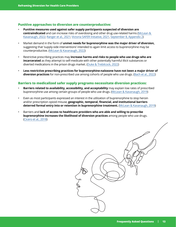### **Punitive approaches to diversion are counterproductive:**

- **Punitive measures used against safer supply participants suspected of diversion are contraindicated** and can increase risks of overdosing and other drug use-related harms [\(McLean &](https://www.tandfonline.com/doi/abs/10.1080/10826084.2021.2019775?journalCode=isum20)  [Kavanaugh, 2022;](https://www.tandfonline.com/doi/abs/10.1080/10826084.2021.2019775?journalCode=isum20) [Ranger et al., 2021;](https://www.uvic.ca/research/centres/cisur/assets/docs/colab/practice-brief-safer.pdf) [Victoria SAFER Initiative, 2021](https://drive.google.com/file/d/1AG4qmvXr62HpHUUldiY4pUhi7Ev6wK3Q/view?usp=sharing), [September 8, Appendix 2](https://drive.google.com/file/d/1AG4qmvXr62HpHUUldiY4pUhi7Ev6wK3Q/view?usp=sharing))
- Market demand in the form of **unmet needs for buprenorphine was the major driver of diversion,**  suggesting that 'supply-side interventions' intended to again limit access to buprenorphine may be counterproductive. [\(McLean & Kavanaugh, 2022](https://www.tandfonline.com/doi/abs/10.1080/10826084.2021.2019775?journalCode=isum20))
- Restrictive prescribing practices may **increase harms and risks to people who use drugs who are incarcerated** as they attempt to self-medicate with other potentially harmful illicit substances or diverted medications in the prison drugs market. [\(Duke & Trebilcock, 2022](https://www.sciencedirect.com/science/article/abs/pii/S0955395921004333?via%3Dihub))
- • **Less restrictive prescribing practices for buprenorphine-naloxone have not been a major driver of diversion practices** for non-prescribed use among cohorts of people who use drugs. [\(Bach et al., 2022](https://www.sciencedirect.com/science/article/abs/pii/S0955395921004631?via%3Dihub))

### **Barriers to medicalized safer supply programs necessitate diversion practices:**

- **Barriers related to availability, accessibility, and acceptability** may explain low rates of prescribed buprenorphine use among certain groups of people who use drugs. [\(McLean & Kavanaugh, 2019\)](https://www.sciencedirect.com/science/article/abs/pii/S0955395919301744?via%3Dihub)
- Even as most participants expressed an interest in the utilization of buprenorphine to stop heroin and/or prescription opioid misuse, **geographic, temporal, financial, and institutional barriers deterred formal entry into or retention in buprenorphine treatment.** [\(McLean & Kavanaugh, 2019\)](https://www.sciencedirect.com/science/article/abs/pii/S0955395919301744?via%3Dihub)
- Barriers and **lack of access to healthcare providers who are able and willing to prescribe buprenorphine increases the likelihood of diversion practices** among people who use drugs. ([Cicero et al., 2018](https://www.sciencedirect.com/science/article/pii/S0376871618307245?via%3Dihub))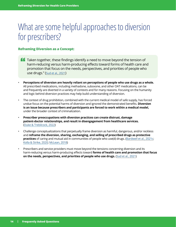# <span id="page-13-0"></span>What are some helpful approaches to diversion for prescribers?

## **Reframing Diversion as a Concept:**

- **Taken together, these findings identify a need to move beyond the tension of** harm-reducing versus harm-producing effects toward forms of health care and promotion that focus on the needs, perspectives, and priorities of people who use drugs." [\(Sud et al., 2021](https://www.journalofsubstanceabusetreatment.com/article/S0740-5472(21)00377-9/fulltext))
- **Perceptions of diversion are heavily reliant on perceptions of people who use drugs as a whole.**  All prescribed medications, including methadone, suboxone, and other OAT medications, can be and frequently are diverted in a variety of contexts and for many reasons. Focusing on the humanity and logic behind diversion practices may help build understanding of diversion.
- The context of drug prohibition, combined with the current medical model of safe supply, has forced undue focus on the potential harms of diversion and ignored the demonstrated benefits. **Diversion is an issue because prescribers and participants are forced to work within a medical model,** under the broader context of criminalization.
- **Prescriber preoccupations with diversion practices can create distrust, damage patient-doctor relationships, and result in disengagement from healthcare services.** ([Duke & Trebilcock, 2022](https://www.sciencedirect.com/science/article/abs/pii/S0955395921004333?via%3Dihub))
- Challenge conceptualizations that perpetually frame diversion as harmful, dangerous, and/or reckless and **reframe the diversion, sharing, exchanging, and selling of prescribed drugs as protective practices** of caring and mutual aid in communities of people who use(d) drugs. [\(Bardwell et al., 2021c](https://www.sciencedirect.com/science/article/abs/pii/S027795362100318X?via%3Dihub); [Kolla & Strike, 2020;](https://harmreductionjournal.biomedcentral.com/articles/10.1186/s12954-020-00372-5) [McLean, 2018](https://www.tandfonline.com/doi/abs/10.1080/0735648X.2016.1215932?journalCode=rjcj20))
- Prescribers and service providers must move beyond the tensions concerning diversion and its harm-reducing versus harm-producing effects toward **forms of health care and promotion that focus on the needs, perspectives, and priorities of people who use drugs.** [\(Sud et al., 2021\)](https://www.journalofsubstanceabusetreatment.com/article/S0740-5472(21)00377-9/fulltext)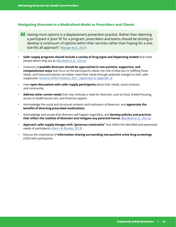## **Navigating Diversion in a Medicalized Model as Prescribers and Clients:**

- **ff** Having more options is a displacement prevention practice. Rather than deeming a participant a 'poor fit' for a program, prescribers and teams should be striving to develop a continuum of options within their services rather than hoping for a onesize-fits all approach." ([Ranger et al., 2021\)](https://www.uvic.ca/research/centres/cisur/assets/docs/colab/practice-brief-safer.pdf)
- **Safer supply programs should include a variety of drug types and dispensing models** that meet people where they are at. [\(Bardwell et al., 2021a](https://www.bccsu.ca/wp-content/uploads/2021/05/Summary-Diverted-PO.pdf))
- Instances of **possible diversion should be approached in non-punitive, supportive, and compassionate ways** that focus on the participant's needs, the role of diversion in fulfilling those needs, and how prescriber(s) can better meet their needs through potential changes to their safer supply plan. [\(Victoria SAFER Initiative, 2021, September 8, Appendix 2\)](https://drive.google.com/file/d/1AG4qmvXr62HpHUUldiY4pUhi7Ev6wK3Q/view?usp=sharing)
- Have **open discussions with safer supply participants** about their needs, social contexts, and community.
- **Address other unmet needs** that may motivate a need for diversion, such as food, shelter/housing, access to health/social care, and financial support.
- Acknowledge the social and structural contexts and motivators of diversion, and **appreciate the benefits of diverting prescribed medications.**
- Acknowledge and accept that diversion will happen regardless, and **develop policies and practices that reflect the realities of diversion and mitigate any potential harms.** ([Bardwell et al., 2021a\)](https://www.bccsu.ca/wp-content/uploads/2021/05/Summary-Diverted-PO.pdf)
- **Approach safer supply dosages with "generous constraints"** that reflect the identified and expressed needs of participants. ([Harris & Rhodes, 2013](https://www.sciencedirect.com/science/article/abs/pii/S0955395912001545?via%3Dihub))
- Discuss the importance of **information sharing surrounding non-punitive urine drug screenings** (UDS) with participants.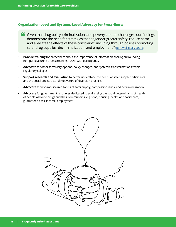## **Organization-Level and Systems-Level Advocacy for Prescribers:**

- Given that drug policy, criminalization, and poverty created challenges, our findings demonstrate the need for strategies that engender greater safety, reduce harm, and alleviate the effects of these constraints, including through policies promoting safer drug supplies, decriminalization, and employment." [\(Bardwell et al., 2021c](https://www.sciencedirect.com/science/article/abs/pii/S027795362100318X?via%3Dihub))
- **Provide training** for prescribers about the importance of information sharing surrounding non-punitive urine drug screenings (UDS) with participants.
- **Advocate** for other formulary options, policy changes, and systemic transformations within regulatory colleges
- **Support research and evaluation** to better understand the needs of safer supply participants and the social and structural motivators of diversion practices
- **Advocate** for non-medicalized forms of safer supply, compassion clubs, and decriminalization
- **Advocate** for government resources dedicated to addressing the social determinants of health of people who use drugs and their communities (e.g. food, housing, health and social care, guaranteed basic income, employment)

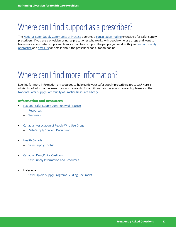# <span id="page-16-0"></span>Where can I find support as a prescriber?

The [National Safer Supply Community of Practice](https://www.nss-aps.ca/) operates a [consultation hotline](https://www.nss-aps.ca/prescriber-hotline) exclusively for safer supply prescribers. If you are a physician or nurse practitioner who works with people who use drugs and want to learn more about safer supply and how you can best support the people you work with, join [our community](https://www.nss-aps.ca/en/join)  [of practice](https://www.nss-aps.ca/en/join) and [email us](https://www.nss-aps.ca/en/contact) for details about the prescriber consultation hotline.

# Where can I find more information?

Looking for more information or resources to help guide your safer supply prescribing practices? Here is a brief list of information, resources, and research. For additional resources and research, please visit the [National Safer Supply Community of Practice Resource Library.](https://www.nss-aps.ca/resources)

### **Information and Resources**

- [National Safer Supply Community of Practice](https://www.nss-aps.ca/en/what-is-safer-supply)
	- [Resources](https://www.nss-aps.ca/our-resources)
	- **[Webinars](https://www.nss-aps.ca/past-webinars)**
- [Canadian Association of People Who Use Drugs](https://www.capud.ca/capud-resources/safe-supply-projects) 
	- [Safe Supply Concept Document](https://www.capud.ca/capud-resources/safe-supply-projects)
- [Health Canada](https://www.canada.ca/en/health-canada/services/opioids/responding-canada-opioid-crisis/safer-supply.html)
	- **[Safer Supply Toolkit](https://drive.google.com/file/d/1gOxsb6LNVmrEyeU3CBwr7XPYSPHG9S8L/view)**
- [Canadian Drug Policy Coalition](https://drugpolicy.ca/)
	- [Safe Supply Information and Resources](https://drugpolicy.ca/safe-supply-information-and-resources/)
- Hales et al.
	- [Safer Opioid Supply Programs Guiding Document](https://docs.google.com/document/d/e/2PACX-1vTMQEhchBfmTjeBxpDRi6w7pXE5EDuInMiKARuxBcxvFUtjPmqk8l7AFPGYvWn3hOHWkTMo8-m5QPI0/pub)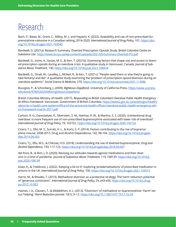# <span id="page-17-0"></span>Research

Bach, P., Bawa, M., Grant, C., Milloy, M. J., and Hayashi, K. (2022). Availability and use of non-prescribed buprenorphine-naloxone in a Canadian setting, 2014-2020. *International Journal of Drug Policy,* 101, [https://doi.](https://doi.org/10.1016/j.drugpo.2021.103545) [org/10.1016/j.drugpo.2021.103545](https://doi.org/10.1016/j.drugpo.2021.103545)

Bardwell, G. (2021a). Research Summary: Diverted Prescription Opioids Study. *British Columbia Centre on Substance Use*. <https://www.bccsu.ca/wp-content/uploads/2021/05/Summary-Diverted-PO.pdf>

Bardwell, G., Ivsins, A., Socias, M. E., & Kerr, T. (2021b). Examining factors that shape use and access to diverted prescription opioids during an overdose crisis: A qualitative study in Vancouver, Canada. *Journal of Substance Abuse Treatment,* 130, <https://doi.org/10.1016/j.jsat.2021.108418>

Bardwell, G., Small, W., Lavalley, J., McNeil, R., & Kerr, T. (2021c). "People need them or else they're going to take fentanyl and die": A qualitative study examining the 'problem' of prescription opioid diversion during an overdose epidemic". *Social Science & Medicine,* 279,<https://doi.org/10.1016/j.socscimed.2021.113986>

Bourgois, P., & Schonberg, J. (2009). *Righteous Dopefiend*. University of California Press. [https://www.ucpress.](https://www.ucpress.edu/book/9780520254985/righteous-dopefiend) [edu/book/9780520254985/righteous-dopefiend](https://www.ucpress.edu/book/9780520254985/righteous-dopefiend)

British Columbia Ministry of Health. (2017). *Responding to British Columbia's Overdose Public Health Emergency - An Ethics Framework.* Vancouver: Government of British Columbia. [https://www2.gov.bc.ca/assets/gov/health/](https://www2.gov.bc.ca/assets/gov/health/about-bc-s-health-care-system/office-of-the-provincial-health-officer/overdose-public-health-emergency-ethics-framework-march-2017.pdf) [about-bc-s-health-care-system/office-of-the-provincial-health-officer/overdose-public-health-emergency-eth](https://www2.gov.bc.ca/assets/gov/health/about-bc-s-health-care-system/office-of-the-provincial-health-officer/overdose-public-health-emergency-ethics-framework-march-2017.pdf)[ics-framework-march-2017.pdf](https://www2.gov.bc.ca/assets/gov/health/about-bc-s-health-care-system/office-of-the-provincial-health-officer/overdose-public-health-emergency-ethics-framework-march-2017.pdf)

Carlson, R. G., Daniulaityte, R., Silverstein, S. M., Nahhas, R. W., & Martins, S. S. (2020). Unintentional drug overdose: Is more frequent use of non-prescribed buprenorphine associated with lower risk of overdose? *International Journal of Drug Policy,* 79, 102722.<https://doi.org/10.1016/j.drugpo.2020.102722>

Cicero, T. J., Ellis, M. S., Surratt, H. L., & Kurtz, S. P. (2014). Factors contributing to the rise of buprenorphine misuse: 2008-2013. Drug and Alcohol Dependence, 142, 98-104. [https://doi.org/10.1016/j.drugalc](https://doi.org/10.1016/j.drugalcdep.2014.06.005)[dep.2014.06.005](https://doi.org/10.1016/j.drugalcdep.2014.06.005)

Cicero, T.J., Ellis, M.S., & Chilcoat, H.D. (2018). Understanding the use of diverted buprenorphine. *Drug and Alcohol Dependence,* 193, 117-123.<https://doi.org/10.1016/j.drugalcdep.2018.09.007>

del Pozo, B., & Rich, J. D. (2020). Revising our attitudes towards agonist medications and their diversion in a time of pandemic. *Journal of Substance Abuse Treatment,* 119, 108139. [https://doi.org/10.1016/j.](https://doi.org/10.1016/j.jsat.2020.108139) [jsat.2020.108139](https://doi.org/10.1016/j.jsat.2020.108139)

Duke, K., & Trebilcock, J. (2022). 'Keeping a lid on it': Exploring 'problematisations' of prescribed medication in prisons in the UK. *International Journal of Drug Policy,* 100,<https://doi.org/10.1016/j.drugpo.2021.103515>

Harris, M., & Rhodes, T. (2013). Methadone diversion as a protective strategy: The harm reduction potential of "generous constraints". *International Journal of Drug Policy,* 24, e43-e50. [https://doi.org/10.1016/j.drug](https://doi.org/10.1016/j.drugpo.2012.10.003)[po.2012.10.003](https://doi.org/10.1016/j.drugpo.2012.10.003)

Havnes, I. A., Clausen, T., & Middelthon, A. L. (2013). "Diversion" of methadone or buprenorphine: 'Harm' versus 'helping.' *Harm Reduction Journal,* 10(1), 9–12. <https://doi.org/10.1186/1477-7517-10-24>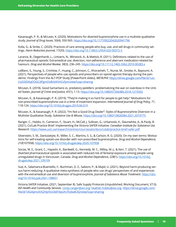Kavanaugh, P. R., & McLean, K. (2020). Motivations for diverted buprenorphine use in a multisite qualitative study. *Journal of Drug Issues,* 50(4), 550-565. [https://doi.org/10.1177/0022042620941796](https://doi.org/10.1177%2F0022042620941796)

Kolla, G., & Strike, C. (2020). Practices of care among people who buy, use, and sell drugs in community settings. *Harm Reduction Journal,* 17(20).<https://doi.org/10.1186/s12954-020-00372-5>

Larance, B., Degenhardt, L., Lintzeris, N., Winstock, A., & Mattick, R. (2011). Definitions related to the use of pharmaceutical opioids: Extramedical use, diversion, non-adherence and aberrant medication-related behaviours. *Drug and Alcohol Review, 30*(3), 236–245.<https://doi.org/10.1111/j.1465-3362.2010.00283.x>

LeBlanc, S., Young, S., Crichlow, F., Huang, C., Johnson, C., Khorasheh, T., Nurse, M., Smoke, A., Bayoumi, A. (2021). Perspectives of people who use opioids and prescribers on opioid agonist therapy during the pandemic: Findings from the ALT-POP Study [PowerPoint slides]. *META:PHI:* https[://drive.google.com/file/d/1un](https://drive.google.com/file/d/1unJ1p55IDXqOOGCdPgmOvBrbXHHCxfym/view?usp=sharing)-[J1p55IDXqOOGCdPgmOvBrbXHHCxfym/view?usp=sharing](https://drive.google.com/file/d/1unJ1p55IDXqOOGCdPgmOvBrbXHHCxfym/view?usp=sharing)

McLean, K. (2018). Good Samaritans vs. predatory peddlers: problematizing the war on overdose in the United States. *Journal of Crime and Justice, 41*(1), 1-13.<https://doi.org/10.1080/0735648X.2016.1215932>

McLean, K., & Kavanaugh, P. R. (2019). "They're making it so hard for people to get help:" Motivations for non-prescribed buprenorphine use in a time of treatment expansion. *International Journal of Drug Policy, 71*, 118-124.<https://doi.org/10.1016/j.drugpo.2019.06.019>

McLean, K., & Kavanaugh, P. R. (2022). "I'm Not a Good Drug Dealer": Styles of Buprenorphine Diversion in a Multisite Qualitative Study. *Substance Use & Misuse,* <https://doi.org/10.1080/10826084.2021.2019775>

Ranger, C., Hobbs, H., Cameron, F., Stuart, H., McCall, J. Sullivan, G., Urbanoski, K., Slaunwhite, A., & Pauly, B. (2021). Co/Lab Practice Brief: Implementing the Victoria SAFER Initiative. *Canadian Institute for Substance Use Research.* <https://www.uvic.ca/research/centres/cisur/assets/docs/colab/practice-brief-safer.pdf>

Silverstein, S. M., Daniulaityte, R., Miller, S. C., Martins, S. S., & Carlson, R. G. (2020). On my own terms: Motivations for self-treating opioid-use disorder with non-prescribed buprenorphine. *Drug and Alcohol Dependence, 210*(107958).<https://doi.org/10.1016/j.drugalcdep.2020.107958>

Socias, M. E., Grant, C., Hayashi, K., Bardwell, G., Kennedy, M. C., Milloy, M.-J., & Kerr, T. (2021). The use of diverted pharmaceutical opioids is associated with reduced risk of fentanyl exposure among people using unregulated drugs in Vancouver, Canada. *Drug and Alcohol Dependence, 228*(1). [https://doi.org/10.1016/j.](https://doi.org/10.1016/j.drugalcdep.2021.109109) [drugalcdep.2021.109109](https://doi.org/10.1016/j.drugalcdep.2021.109109)

Sud, A., Salamanca-Buentello, F., Buchman, D. Z., Sabioni, P., & Majid, U. (2021). Beyond harm-producing versus harm-reducing: A qualitative meta-synthesis of people who use drugs' perspectives of and experiences with the extramedical use and diversion of buprenorphine. *Journal of Substance Abuse Treatment.* [https://doi.](https://doi.org/10.1016/j.jsat.2021.108651) [org/10.1016/j.jsat.2021.108651](https://doi.org/10.1016/j.jsat.2021.108651)

Victoria SAFER Initiative. (2021, September 8). Safe Supply Protocols (Unpublished, Working Document, V7.0). *AVI Health and Community Services.* corey.ranger@avi.org; [heather.hobbs@avi.org](mailto:heather.hobbs@avi.org). [https://drive.google.com/](https://drive.google.com/file/d/1AG4qmvXr62HpHUUldiY4pUhi7Ev6wK3Q/view?usp=sharing) [file/d/1AG4qmvXr62HpHUUldiY4pUhi7Ev6wK3Q/view?usp=sharing](https://drive.google.com/file/d/1AG4qmvXr62HpHUUldiY4pUhi7Ev6wK3Q/view?usp=sharing)